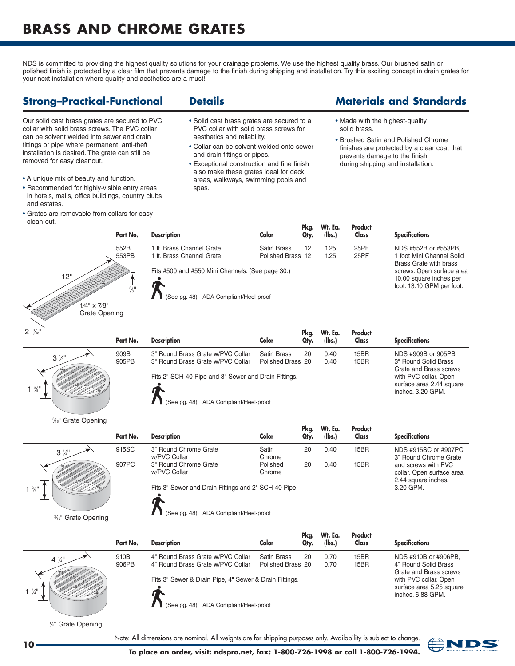## **BrASS AND CHrOME grATES**

NDS is committed to providing the highest quality solutions for your drainage problems. We use the highest quality brass. Our brushed satin or polished finish is protected by a clear film that prevents damage to the finish during shipping and installation. Try this exciting concept in drain grates for your next installation where quality and aesthetics are a must!

### **Strong–Practical-Functional**

Our solid cast brass grates are secured to PVC collar with solid brass screws. The PVC collar can be solvent welded into sewer and drain fittings or pipe where permanent, anti-theft installation is desired. The grate can still be removed for easy cleanout.

- A unique mix of beauty and function.
- Recommended for highly-visible entry areas in hotels, malls, office buildings, country clubs and estates.
- Grates are removable from collars for easy clean-out.

#### **Details**

- Solid cast brass grates are secured to a PVC collar with solid brass screws for aesthetics and reliability.
- Collar can be solvent-welded onto sewer and drain fittings or pipes.
- Exceptional construction and fine finish also make these grates ideal for deck areas, walkways, swimming pools and spas.

### **Materials and Standards**

- Made with the highest-quality solid brass.
- Brushed Satin and Polished Chrome finishes are protected by a clear coat that prevents damage to the finish during shipping and installation.

|                                                                                                                                    | гчн но.                                                                                                                  | v   |
|------------------------------------------------------------------------------------------------------------------------------------|--------------------------------------------------------------------------------------------------------------------------|-----|
|                                                                                                                                    | 552B<br>553PB                                                                                                            | Ι.  |
|                                                                                                                                    |                                                                                                                          | Fil |
| 12"<br>$\Phi_{\rm{th}}$<br>乡                                                                                                       | $\Phi_{\rm th}$<br>$\sim$<br>$\Phi_{\rm in}$<br>$\frac{3}{8}$ <sup>11</sup><br>$\mathcal{O}_{\mathcal{O}_{\mathcal{O}}}$ |     |
| $\Phi_{\rm in}$<br>$\sim$<br>$\sim$<br>$\sim$<br>$\mathcal{O}_{\mathcal{P}_{\mathcal{P}}}$<br>$\sim$<br>$\sim$<br>$\sim$<br>$\sim$ | $\sim$<br>$1/4$ " x $7/8$ "                                                                                              |     |
| $\tilde{\phantom{a}}$<br>$\sim$                                                                                                    | <b>Grate Opening</b>                                                                                                     |     |
| $2\frac{13}{16}$                                                                                                                   |                                                                                                                          |     |

%" Grate Opening

| Part No.                                    | <b>Description</b>                               | Color              | Pka.<br>Qty. | Wt. Ea.<br>(lbs.) | <b>Product</b><br>Class | <b>Specifications</b>                                                             |
|---------------------------------------------|--------------------------------------------------|--------------------|--------------|-------------------|-------------------------|-----------------------------------------------------------------------------------|
| 552B                                        | 1 ft. Brass Channel Grate                        | <b>Satin Brass</b> | 12           | 1.25              | 25PF                    | NDS #552B or #553PB,                                                              |
| 553PB                                       | 1 ft. Brass Channel Grate                        | Polished Brass 12  |              | 1.25              | 25PF                    | 1 foot Mini Channel Solid<br>Brass Grate with brass                               |
| <b>ENDER</b><br>$\frac{3}{8}$ <sup>11</sup> | Fits #500 and #550 Mini Channels. (See page 30.) |                    |              |                   |                         | screws. Open surface area<br>10.00 square inches per<br>foot. 13.10 GPM per foot. |
|                                             | (See pg. 48) ADA Compliant/Heel-proof            |                    |              |                   |                         |                                                                                   |

| $2^{13}$ / <sub>16</sub> " ' | Part No.      | <b>Description</b>                                                                            | Color                            | Pka.<br>Qty. | Wt. Ea.<br>(lbs.) | Product<br>Class | <b>Specifications</b>                                                  |
|------------------------------|---------------|-----------------------------------------------------------------------------------------------|----------------------------------|--------------|-------------------|------------------|------------------------------------------------------------------------|
| $3\frac{1}{4}$               | 909B<br>905PB | 3" Round Brass Grate w/PVC Collar<br>3" Round Brass Grate w/PVC Collar                        | Satin Brass<br>Polished Brass 20 | 20           | 0.40<br>0.40      | 15BR<br>15BR     | NDS #909B or 905PB,<br>3" Round Solid Brass<br>Grate and Brass screws  |
| $1\frac{3}{8}$               |               | Fits 2" SCH-40 Pipe and 3" Sewer and Drain Fittings.<br>(See pg. 48) ADA Compliant/Heel-proof |                                  |              |                   |                  | with PVC collar. Open<br>surface area 2.44 square<br>inches, 3.20 GPM. |
|                              |               |                                                                                               |                                  |              |                   |                  |                                                                        |

<sup>3⁄16"</sup> Grate Opening  $1<sup>3</sup>$  $\sqrt{8}$ "  $3\frac{1}{4}$ **Pkg. Wt. Ea. Product Part No. Description Color Qty. (lbs.) Class Specifications** 915SC 3" Round Chrome Grate Satin 20 0.40 15BR<br>w/PVC Collar chrome Chrome w/PVC Collar collar Chrome<br>3" Round Chrome Grate Chrome Polished 907PC 3" Round Chrome Grate Polished 20 0.40 15BR w/PVC Collar Chrome Fits 3" Sewer and Drain Fittings and 2" SCH-40 Pipe NDS #915SC or #907PC, 3" Round Chrome Grate and screws with PVC collar. Open surface area 2.44 square inches. 3.20 GPM. See pg. 48) ADA Compliant/Heel-proof

 $1<sup>3</sup>$ ⁄4"  $4\frac{1}{4}$ **Pkg. Wt. Ea. Product Part No. Description Color Qty. (lbs.) Class Specifications** 910B 4" Round Brass Grate w/PVC Collar Satin Brass 20 0.70 15BR<br>906PB 4" Round Brass Grate w/PVC Collar Polished Brass 20 0.70 15BR 4" Round Brass Grate w/PVC Collar Fits 3" Sewer & Drain Pipe, 4" Sewer & Drain Fittings. NDS #910B or #906PB, 4" Round Solid Brass Grate and Brass screws with PVC collar. Open surface area 5.25 square inches. 6.88 GPM. See pg. 48) ADA Compliant/Heel-proof

1/4" Grate Opening



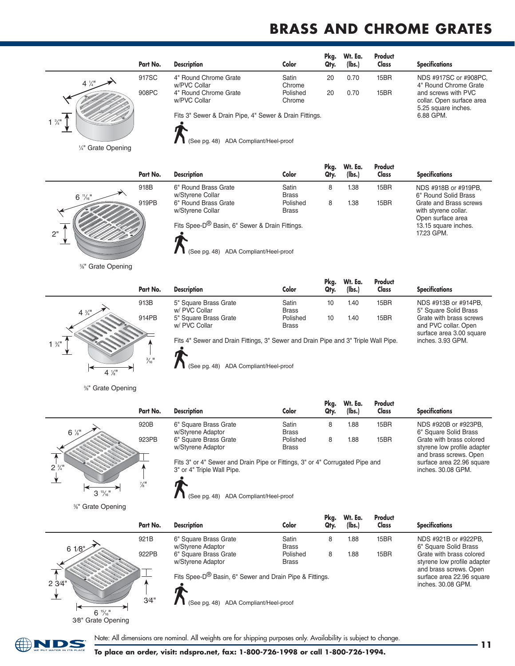# **BrASS AND CHrOME grATES**

**Pkg. Wt. Ea. Product**

NDS #918B or #919PB, 6" Round Solid Brass Grate and Brass screws with styrene collar. Open surface area 13.15 square inches. 17.23 GPM.

inches. 3.93 GPM.

|                 | Part No. | <b>Description</b>                                     | Color              | Pka.<br>Qty. | Wt. Ea.<br>(lbs.) | Product<br>Class | <b>Specifications</b>                                                   |
|-----------------|----------|--------------------------------------------------------|--------------------|--------------|-------------------|------------------|-------------------------------------------------------------------------|
| $4\frac{1}{4}$  | 917SC    | 4" Round Chrome Grate<br>w/PVC Collar                  | Satin<br>Chrome    | 20           | 0.70              | 15BR             | NDS #917SC or #908PC,<br>4" Round Chrome Grate                          |
|                 | 908PC    | 4" Round Chrome Grate<br>w/PVC Collar                  | Polished<br>Chrome | 20           | 0.70              | 15BR             | and screws with PVC<br>collar. Open surface area<br>5.25 square inches. |
| $1 \frac{3}{4}$ |          | Fits 3" Sewer & Drain Pipe, 4" Sewer & Drain Fittings. |                    |              |                   |                  | 6.88 GPM.                                                               |



1/4" Grate Opening

2"  $6\frac{11}{16}$ " **Part No. Description Color Qty. (lbs.) Class Specifications**

%" Grate Opening



918B 6" Round Brass Grate Satin 8 1.38 15BR<br>
w/Styrene Collar Srass Srass w/Styrene Collar **Brass**<br>6" Round Brass Grate **Brass** Polished 919PB 6" Round Brass Grate Polished 8 1.38 15BR w/Styrene Collar Fits Spee-D® Basin, 6" Sewer & Drain Fittings.

See pg. 48) ADA Compliant/Heel-proof

(See pg. 48) ADA Compliant/Heel-proof

| Part No. | <b>Description</b>                     | Color                    | Pkg.<br>Qtv. | Wt. Ea.<br>(lbs.) | <b>Product</b><br>Class | <b>Specifications</b>                                                       |
|----------|----------------------------------------|--------------------------|--------------|-------------------|-------------------------|-----------------------------------------------------------------------------|
| 913B     | 5" Square Brass Grate<br>w/ PVC Collar | Satin<br><b>Brass</b>    | 10           | 1.40              | 15BR                    | NDS #913B or #914PB.<br>5" Square Solid Brass                               |
| 914PB    | 5" Square Brass Grate<br>w/ PVC Collar | Polished<br><b>Brass</b> | 10           | 1.40              | 15BR                    | Grate with brass screws<br>and PVC collar. Open<br>surface area 3.00 square |

Fits 4" Sewer and Drain Fittings, 3" Sewer and Drain Pipe and 3" Triple Wall Pipe.

3 ⁄8" Grate Opening



**Pkg. Wt. Ea. Product Part No. Description Color Qty. (lbs.) Class Specifications** 920B 6" Square Brass Grate Satin 8 1.88 15BR w/Styrene Adaptor Brass<br>
6" Square Brass Grate Brass Polished 923PB 6" Square Brass Grate **Polished** 8 1.88 15BR w/Styrene Adaptor Brass Fits 3" or 4" Sewer and Drain Pipe or Fittings, 3" or 4" Corrugated Pipe and 3" or 4" Triple Wall Pipe. NDS #920B or #923PB, 6" Square Solid Brass Grate with brass colored styrene low profile adapter and brass screws. Open surface area 22.96 square inches. 30.08 GPM.

(See pg. 48) ADA Compliant/Heel-proof

3 ⁄8" Grate Opening

 $6 \frac{15}{16}$ "

3⁄8" Grate Opening

|        | Part No. | <b>Description</b>                                      | Color                    | Pkg.<br>Qty. | Wt. Ea.<br>(lbs.) | Product<br>Class | <b>Specifications</b>                                                     |
|--------|----------|---------------------------------------------------------|--------------------------|--------------|-------------------|------------------|---------------------------------------------------------------------------|
| 61/8   | 921B     | 6" Square Brass Grate<br>w/Styrene Adaptor              | Satin<br><b>Brass</b>    | 8            | 1.88              | 15BR             | NDS #921B or #922PB,<br>6" Square Solid Brass                             |
|        | 922PB    | 6" Square Brass Grate<br>w/Styrene Adaptor              | Polished<br><b>Brass</b> | 8            | 1.88              | 15BR             | Grate with brass colored<br>styrene low profile adapter                   |
| 2 3/4" |          | Fits Spee-D® Basin, 6" Sewer and Drain Pipe & Fittings. |                          |              |                   |                  | and brass screws. Open<br>surface area 22.96 square<br>inches, 30.08 GPM. |
|        | 3/4"     | (See pg. 48) ADA Compliant/Heel-proof                   |                          |              |                   |                  |                                                                           |



Note: All dimensions are nominal. All weights are for shipping purposes only. Availability is subject to change.<br>**11**